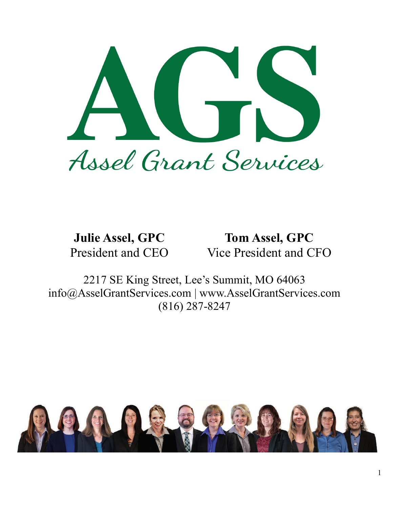

**Julie Assel, GPC Tom Assel, GPC** President and CEO Vice President and CFO

2217 SE King Street, Lee's Summit, MO 64063 info@AsselGrantServices.com | www.AsselGrantServices.com (816) 287-8247

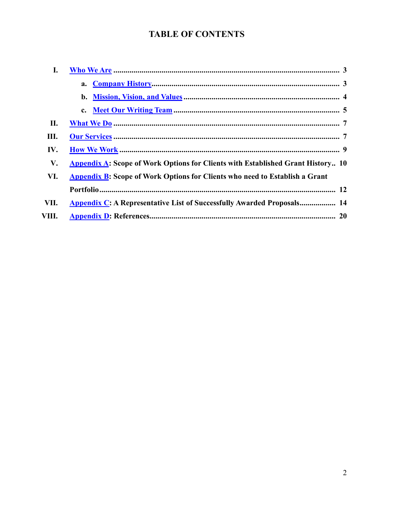# **TABLE OF CONTENTS**

| I.    |                                                                                        |
|-------|----------------------------------------------------------------------------------------|
|       |                                                                                        |
|       |                                                                                        |
|       |                                                                                        |
| П.    |                                                                                        |
| Ш.    |                                                                                        |
| IV.   |                                                                                        |
| V.    | <b>Appendix A:</b> Scope of Work Options for Clients with Established Grant History 10 |
| VI.   | <b>Appendix B:</b> Scope of Work Options for Clients who need to Establish a Grant     |
|       |                                                                                        |
| VII.  | Appendix C: A Representative List of Successfully Awarded Proposals 14                 |
| VIII. |                                                                                        |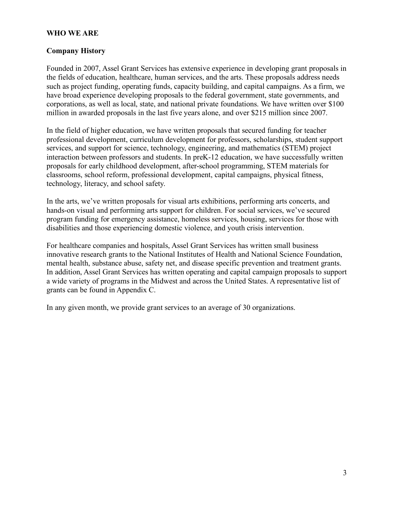## **WHO WE ARE**

#### **Company History**

Founded in 2007, Assel Grant Services has extensive experience in developing grant proposals in the fields of education, healthcare, human services, and the arts. These proposals address needs such as project funding, operating funds, capacity building, and capital campaigns. As a firm, we have broad experience developing proposals to the federal government, state governments, and corporations, as well as local, state, and national private foundations. We have written over \$100 million in awarded proposals in the last five years alone, and over \$215 million since 2007.

In the field of higher education, we have written proposals that secured funding for teacher professional development, curriculum development for professors, scholarships, student support services, and support for science, technology, engineering, and mathematics (STEM) project interaction between professors and students. In preK-12 education, we have successfully written proposals for early childhood development, after-school programming, STEM materials for classrooms, school reform, professional development, capital campaigns, physical fitness, technology, literacy, and school safety.

In the arts, we've written proposals for visual arts exhibitions, performing arts concerts, and hands-on visual and performing arts support for children. For social services, we've secured program funding for emergency assistance, homeless services, housing, services for those with disabilities and those experiencing domestic violence, and youth crisis intervention.

For healthcare companies and hospitals, Assel Grant Services has written small business innovative research grants to the National Institutes of Health and National Science Foundation, mental health, substance abuse, safety net, and disease specific prevention and treatment grants. In addition, Assel Grant Services has written operating and capital campaign proposals to support a wide variety of programs in the Midwest and across the United States. A representative list of grants can be found in Appendix C.

In any given month, we provide grant services to an average of 30 organizations.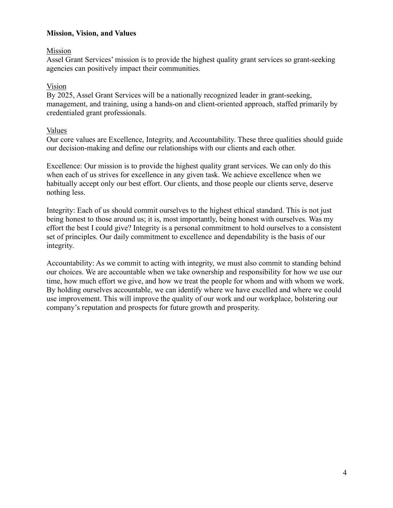## **Mission, Vision, and Values**

## Mission

Assel Grant Services' mission is to provide the highest quality grant services so grant-seeking agencies can positively impact their communities.

## Vision

By 2025, Assel Grant Services will be a nationally recognized leader in grant-seeking, management, and training, using a hands-on and client-oriented approach, staffed primarily by credentialed grant professionals.

### Values

Our core values are Excellence, Integrity, and Accountability. These three qualities should guide our decision-making and define our relationships with our clients and each other.

Excellence: Our mission is to provide the highest quality grant services. We can only do this when each of us strives for excellence in any given task. We achieve excellence when we habitually accept only our best effort. Our clients, and those people our clients serve, deserve nothing less.

Integrity: Each of us should commit ourselves to the highest ethical standard. This is not just being honest to those around us; it is, most importantly, being honest with ourselves. Was my effort the best I could give? Integrity is a personal commitment to hold ourselves to a consistent set of principles. Our daily commitment to excellence and dependability is the basis of our integrity.

Accountability: As we commit to acting with integrity, we must also commit to standing behind our choices. We are accountable when we take ownership and responsibility for how we use our time, how much effort we give, and how we treat the people for whom and with whom we work. By holding ourselves accountable, we can identify where we have excelled and where we could use improvement. This will improve the quality of our work and our workplace, bolstering our company's reputation and prospects for future growth and prosperity.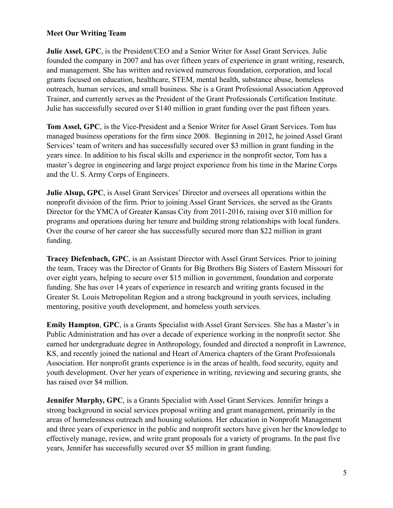# **Meet Our Writing Team**

**Julie Assel, GPC**, is the President/CEO and a Senior Writer for Assel Grant Services. Julie founded the company in 2007 and has over fifteen years of experience in grant writing, research, and management. She has written and reviewed numerous foundation, corporation, and local grants focused on education, healthcare, STEM, mental health, substance abuse, homeless outreach, human services, and small business. She is a Grant Professional Association Approved Trainer, and currently serves as the President of the Grant Professionals Certification Institute. Julie has successfully secured over \$140 million in grant funding over the past fifteen years.

**Tom Assel, GPC**, is the Vice-President and a Senior Writer for Assel Grant Services. Tom has managed business operations for the firm since 2008. Beginning in 2012, he joined Assel Grant Services' team of writers and has successfully secured over \$3 million in grant funding in the years since. In addition to his fiscal skills and experience in the nonprofit sector, Tom has a master's degree in engineering and large project experience from his time in the Marine Corps and the U. S. Army Corps of Engineers.

**Julie Alsup, GPC**, is Assel Grant Services' Director and oversees all operations within the nonprofit division of the firm. Prior to joining Assel Grant Services, she served as the Grants Director for the YMCA of Greater Kansas City from 2011-2016, raising over \$10 million for programs and operations during her tenure and building strong relationships with local funders. Over the course of her career she has successfully secured more than \$22 million in grant funding.

**Tracey Diefenbach, GPC**, is an Assistant Director with Assel Grant Services. Prior to joining the team, Tracey was the Director of Grants for Big Brothers Big Sisters of Eastern Missouri for over eight years, helping to secure over \$15 million in government, foundation and corporate funding. She has over 14 years of experience in research and writing grants focused in the Greater St. Louis Metropolitan Region and a strong background in youth services, including mentoring, positive youth development, and homeless youth services.

**Emily Hampton**, **GPC**, is a Grants Specialist with Assel Grant Services. She has a Master's in Public Administration and has over a decade of experience working in the nonprofit sector. She earned her undergraduate degree in Anthropology, founded and directed a nonprofit in Lawrence, KS, and recently joined the national and Heart of America chapters of the Grant Professionals Association. Her nonprofit grants experience is in the areas of health, food security, equity and youth development. Over her years of experience in writing, reviewing and securing grants, she has raised over \$4 million.

**Jennifer Murphy, GPC**, is a Grants Specialist with Assel Grant Services. Jennifer brings a strong background in social services proposal writing and grant management, primarily in the areas of homelessness outreach and housing solutions. Her education in Nonprofit Management and three years of experience in the public and nonprofit sectors have given her the knowledge to effectively manage, review, and write grant proposals for a variety of programs. In the past five years, Jennifer has successfully secured over \$5 million in grant funding.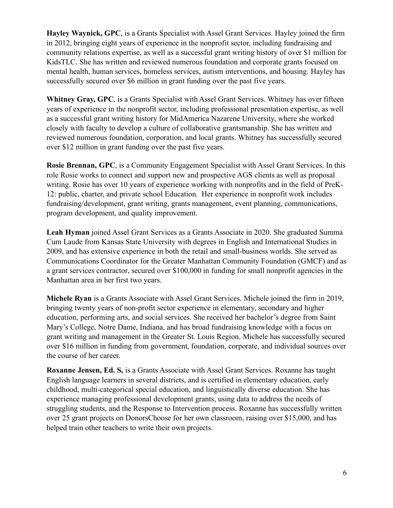**Hayley Waynick, GPC**, is a Grants Specialist with Assel Grant Services. Hayley joined the firm in 2012, bringing eight years of experience in the nonprofit sector, including fundraising and community relations expertise, as well as a successful grant writing history of over \$1 million for KidsTLC. She has written and reviewed numerous foundation and corporate grants focused on mental health, human services, homeless services, autism interventions, and housing. Hayley has successfully secured over \$6 million in grant funding over the past five years.

**Whitney Gray, GPC**, is a Grants Specialist with Assel Grant Services. Whitney has over fifteen years of experience in the nonprofit sector, including professional presentation expertise, as well as a successful grant writing history for MidAmerica Nazarene University, where she worked closely with faculty to develop a culture of collaborative grantsmanship. She has written and reviewed numerous foundation, corporation, and local grants. Whitney has successfully secured over \$12 million in grant funding over the past five years.

**Rosie Brennan, GPC**, is a Community Engagement Specialist with Assel Grant Services. In this role Rosie works to connect and support new and prospective AGS clients as well as proposal writing. Rosie has over 10 years of experience working with nonprofits and in the field of PreK-12: public, charter, and private school Education. Her experience in nonprofit work includes fundraising/development, grant writing, grants management, event planning, communications, program development, and quality improvement.

**Leah Hyman** joined Assel Grant Services as a Grants Associate in 2020. She graduated Summa Cum Laude from Kansas State University with degrees in English and International Studies in 2009, and has extensive experience in both the retail and small-business worlds. She served as Communications Coordinator for the Greater Manhattan Community Foundation (GMCF) and as a grant services contractor, secured over \$100,000 in funding for small nonprofit agencies in the Manhattan area in her first two years.

**Michele Ryan** is a Grants Associate with Assel Grant Services. Michele joined the firm in 2019, bringing twenty years of non-profit sector experience in elementary, secondary and higher education, performing arts, and social services. She received her bachelor's degree from Saint Mary's College, Notre Dame, Indiana, and has broad fundraising knowledge with a focus on grant writing and management in the Greater St. Louis Region. Michele has successfully secured over \$16 million in funding from government, foundation, corporate, and individual sources over the course of her career.

**Roxanne Jensen, Ed. S,** is a Grants Associate with Assel Grant Services. Roxanne has taught English language learners in several districts, and is certified in elementary education, early childhood, multi-categorical special education, and linguistically diverse education. She has experience managing professional development grants, using data to address the needs of struggling students, and the Response to Intervention process. Roxanne has successfully written over 25 grant projects on DonorsChoose for her own classroom, raising over \$15,000, and has helped train other teachers to write their own projects.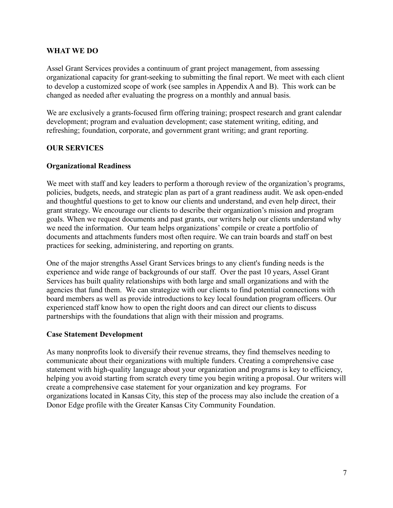### **WHAT WE DO**

Assel Grant Services provides a continuum of grant project management, from assessing organizational capacity for grant-seeking to submitting the final report. We meet with each client to develop a customized scope of work (see samples in Appendix A and B). This work can be changed as needed after evaluating the progress on a monthly and annual basis.

We are exclusively a grants-focused firm offering training; prospect research and grant calendar development; program and evaluation development; case statement writing, editing, and refreshing; foundation, corporate, and government grant writing; and grant reporting.

# **OUR SERVICES**

### **Organizational Readiness**

We meet with staff and key leaders to perform a thorough review of the organization's programs, policies, budgets, needs, and strategic plan as part of a grant readiness audit. We ask open-ended and thoughtful questions to get to know our clients and understand, and even help direct, their grant strategy. We encourage our clients to describe their organization's mission and program goals. When we request documents and past grants, our writers help our clients understand why we need the information. Our team helps organizations' compile or create a portfolio of documents and attachments funders most often require. We can train boards and staff on best practices for seeking, administering, and reporting on grants.

One of the major strengths Assel Grant Services brings to any client's funding needs is the experience and wide range of backgrounds of our staff. Over the past 10 years, Assel Grant Services has built quality relationships with both large and small organizations and with the agencies that fund them. We can strategize with our clients to find potential connections with board members as well as provide introductions to key local foundation program officers. Our experienced staff know how to open the right doors and can direct our clients to discuss partnerships with the foundations that align with their mission and programs.

#### **Case Statement Development**

As many nonprofits look to diversify their revenue streams, they find themselves needing to communicate about their organizations with multiple funders. Creating a comprehensive case statement with high-quality language about your organization and programs is key to efficiency, helping you avoid starting from scratch every time you begin writing a proposal. Our writers will create a comprehensive case statement for your organization and key programs. For organizations located in Kansas City, this step of the process may also include the creation of a Donor Edge profile with the Greater Kansas City Community Foundation.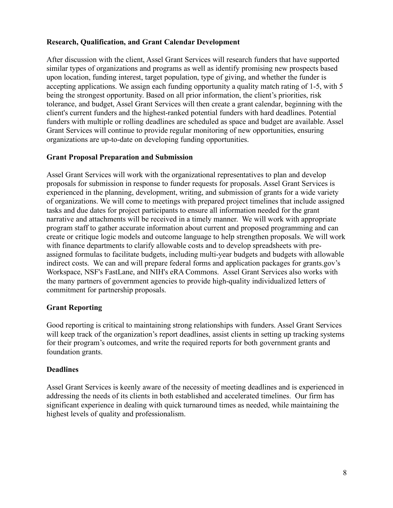## **Research, Qualification, and Grant Calendar Development**

After discussion with the client, Assel Grant Services will research funders that have supported similar types of organizations and programs as well as identify promising new prospects based upon location, funding interest, target population, type of giving, and whether the funder is accepting applications. We assign each funding opportunity a quality match rating of 1-5, with 5 being the strongest opportunity. Based on all prior information, the client's priorities, risk tolerance, and budget, Assel Grant Services will then create a grant calendar, beginning with the client's current funders and the highest-ranked potential funders with hard deadlines. Potential funders with multiple or rolling deadlines are scheduled as space and budget are available. Assel Grant Services will continue to provide regular monitoring of new opportunities, ensuring organizations are up-to-date on developing funding opportunities.

### **Grant Proposal Preparation and Submission**

Assel Grant Services will work with the organizational representatives to plan and develop proposals for submission in response to funder requests for proposals. Assel Grant Services is experienced in the planning, development, writing, and submission of grants for a wide variety of organizations. We will come to meetings with prepared project timelines that include assigned tasks and due dates for project participants to ensure all information needed for the grant narrative and attachments will be received in a timely manner. We will work with appropriate program staff to gather accurate information about current and proposed programming and can create or critique logic models and outcome language to help strengthen proposals. We will work with finance departments to clarify allowable costs and to develop spreadsheets with preassigned formulas to facilitate budgets, including multi-year budgets and budgets with allowable indirect costs. We can and will prepare federal forms and application packages for grants.gov's Workspace, NSF's FastLane, and NIH's eRA Commons. Assel Grant Services also works with the many partners of government agencies to provide high-quality individualized letters of commitment for partnership proposals.

#### **Grant Reporting**

Good reporting is critical to maintaining strong relationships with funders. Assel Grant Services will keep track of the organization's report deadlines, assist clients in setting up tracking systems for their program's outcomes, and write the required reports for both government grants and foundation grants.

#### **Deadlines**

Assel Grant Services is keenly aware of the necessity of meeting deadlines and is experienced in addressing the needs of its clients in both established and accelerated timelines. Our firm has significant experience in dealing with quick turnaround times as needed, while maintaining the highest levels of quality and professionalism.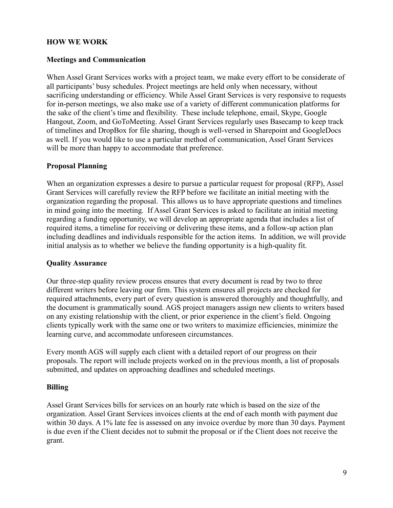## **HOW WE WORK**

#### **Meetings and Communication**

When Assel Grant Services works with a project team, we make every effort to be considerate of all participants' busy schedules. Project meetings are held only when necessary, without sacrificing understanding or efficiency. While Assel Grant Services is very responsive to requests for in-person meetings, we also make use of a variety of different communication platforms for the sake of the client's time and flexibility. These include telephone, email, Skype, Google Hangout, Zoom, and GoToMeeting. Assel Grant Services regularly uses Basecamp to keep track of timelines and DropBox for file sharing, though is well-versed in Sharepoint and GoogleDocs as well. If you would like to use a particular method of communication, Assel Grant Services will be more than happy to accommodate that preference.

### **Proposal Planning**

When an organization expresses a desire to pursue a particular request for proposal (RFP), Assel Grant Services will carefully review the RFP before we facilitate an initial meeting with the organization regarding the proposal. This allows us to have appropriate questions and timelines in mind going into the meeting. If Assel Grant Services is asked to facilitate an initial meeting regarding a funding opportunity, we will develop an appropriate agenda that includes a list of required items, a timeline for receiving or delivering these items, and a follow-up action plan including deadlines and individuals responsible for the action items. In addition, we will provide initial analysis as to whether we believe the funding opportunity is a high-quality fit.

#### **Quality Assurance**

Our three-step quality review process ensures that every document is read by two to three different writers before leaving our firm. This system ensures all projects are checked for required attachments, every part of every question is answered thoroughly and thoughtfully, and the document is grammatically sound. AGS project managers assign new clients to writers based on any existing relationship with the client, or prior experience in the client's field. Ongoing clients typically work with the same one or two writers to maximize efficiencies, minimize the learning curve, and accommodate unforeseen circumstances.

Every month AGS will supply each client with a detailed report of our progress on their proposals. The report will include projects worked on in the previous month, a list of proposals submitted, and updates on approaching deadlines and scheduled meetings.

#### **Billing**

Assel Grant Services bills for services on an hourly rate which is based on the size of the organization. Assel Grant Services invoices clients at the end of each month with payment due within 30 days. A 1% late fee is assessed on any invoice overdue by more than 30 days. Payment is due even if the Client decides not to submit the proposal or if the Client does not receive the grant.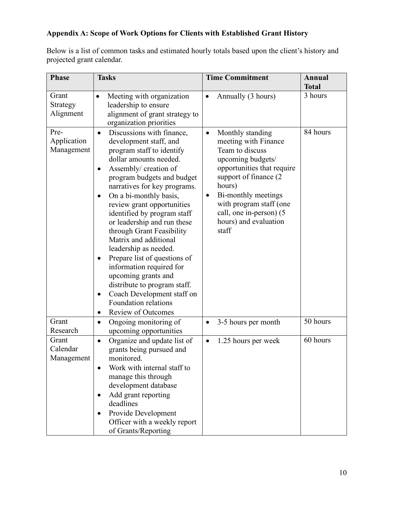# **Appendix A: Scope of Work Options for Clients with Established Grant History**

Below is a list of common tasks and estimated hourly totals based upon the client's history and projected grant calendar.

| <b>Phase</b>                      | <b>Tasks</b>                                                                                                                                                                                                                                                                                                                                                                                                                                                                                                                                                                                                                                                               | <b>Time Commitment</b>                                                                                                                                                                                                                                                                      | Annual                  |
|-----------------------------------|----------------------------------------------------------------------------------------------------------------------------------------------------------------------------------------------------------------------------------------------------------------------------------------------------------------------------------------------------------------------------------------------------------------------------------------------------------------------------------------------------------------------------------------------------------------------------------------------------------------------------------------------------------------------------|---------------------------------------------------------------------------------------------------------------------------------------------------------------------------------------------------------------------------------------------------------------------------------------------|-------------------------|
| Grant<br>Strategy<br>Alignment    | Meeting with organization<br>$\bullet$<br>leadership to ensure<br>alignment of grant strategy to<br>organization priorities                                                                                                                                                                                                                                                                                                                                                                                                                                                                                                                                                | Annually (3 hours)<br>$\bullet$                                                                                                                                                                                                                                                             | <b>Total</b><br>3 hours |
| Pre-<br>Application<br>Management | Discussions with finance,<br>$\bullet$<br>development staff, and<br>program staff to identify<br>dollar amounts needed.<br>Assembly/ creation of<br>٠<br>program budgets and budget<br>narratives for key programs.<br>On a bi-monthly basis,<br>٠<br>review grant opportunities<br>identified by program staff<br>or leadership and run these<br>through Grant Feasibility<br>Matrix and additional<br>leadership as needed.<br>Prepare list of questions of<br>$\bullet$<br>information required for<br>upcoming grants and<br>distribute to program staff.<br>Coach Development staff on<br>$\bullet$<br><b>Foundation relations</b><br>Review of Outcomes<br>$\bullet$ | Monthly standing<br>$\bullet$<br>meeting with Finance<br>Team to discuss<br>upcoming budgets/<br>opportunities that require<br>support of finance (2)<br>hours)<br>Bi-monthly meetings<br>$\bullet$<br>with program staff (one<br>call, one in-person) (5<br>hours) and evaluation<br>staff | 84 hours                |
| Grant<br>Research                 | Ongoing monitoring of<br>$\bullet$<br>upcoming opportunities                                                                                                                                                                                                                                                                                                                                                                                                                                                                                                                                                                                                               | 3-5 hours per month<br>$\bullet$                                                                                                                                                                                                                                                            | 50 hours                |
| Grant<br>Calendar<br>Management   | Organize and update list of<br>$\bullet$<br>grants being pursued and<br>monitored.<br>Work with internal staff to<br>manage this through<br>development database<br>Add grant reporting<br>٠<br>deadlines<br>Provide Development<br>٠<br>Officer with a weekly report<br>of Grants/Reporting                                                                                                                                                                                                                                                                                                                                                                               | 1.25 hours per week<br>$\bullet$                                                                                                                                                                                                                                                            | 60 hours                |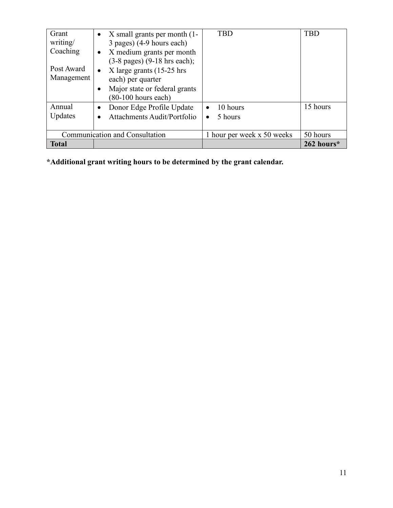| Grant<br>writing/<br>Coaching<br>Post Award<br>Management | $\bullet$ X small grants per month (1-<br>3 pages) (4-9 hours each)<br>$\bullet$ X medium grants per month<br>$(3-8 \text{ pages})$ $(9-18 \text{ hrs each})$ ;<br>• X large grants $(15-25)$ hrs<br>each) per quarter<br>Major state or federal grants<br>٠<br>$(80-100$ hours each) | <b>TBD</b>                                    | <b>TBD</b> |
|-----------------------------------------------------------|---------------------------------------------------------------------------------------------------------------------------------------------------------------------------------------------------------------------------------------------------------------------------------------|-----------------------------------------------|------------|
| Annual<br>Updates                                         | Donor Edge Profile Update<br>$\bullet$<br>Attachments Audit/Portfolio                                                                                                                                                                                                                 | 10 hours<br>$\bullet$<br>5 hours<br>$\bullet$ | 15 hours   |
|                                                           | Communication and Consultation                                                                                                                                                                                                                                                        | 1 hour per week x 50 weeks                    | 50 hours   |
| <b>Total</b>                                              |                                                                                                                                                                                                                                                                                       |                                               | 262 hours* |

**\*Additional grant writing hours to be determined by the grant calendar.**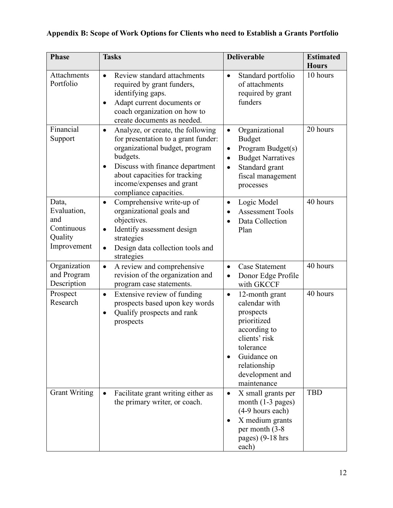# **Appendix B: Scope of Work Options for Clients who need to Establish a Grants Portfolio**

| <b>Phase</b>                                                        | <b>Tasks</b>                                                                                                                                                                                                                                                                | <b>Deliverable</b>                                                                                                                                                                       | <b>Estimated</b><br><b>Hours</b> |
|---------------------------------------------------------------------|-----------------------------------------------------------------------------------------------------------------------------------------------------------------------------------------------------------------------------------------------------------------------------|------------------------------------------------------------------------------------------------------------------------------------------------------------------------------------------|----------------------------------|
| Attachments<br>Portfolio                                            | Review standard attachments<br>$\bullet$<br>required by grant funders,<br>identifying gaps.<br>Adapt current documents or<br>$\bullet$<br>coach organization on how to<br>create documents as needed.                                                                       | Standard portfolio<br>$\bullet$<br>of attachments<br>required by grant<br>funders                                                                                                        | 10 hours                         |
| Financial<br>Support                                                | Analyze, or create, the following<br>$\bullet$<br>for presentation to a grant funder:<br>organizational budget, program<br>budgets.<br>Discuss with finance department<br>$\bullet$<br>about capacities for tracking<br>income/expenses and grant<br>compliance capacities. | Organizational<br>$\bullet$<br><b>Budget</b><br>Program Budget(s)<br>$\bullet$<br><b>Budget Narratives</b><br>$\bullet$<br>Standard grant<br>$\bullet$<br>fiscal management<br>processes | 20 hours                         |
| Data,<br>Evaluation,<br>and<br>Continuous<br>Quality<br>Improvement | Comprehensive write-up of<br>$\bullet$<br>organizational goals and<br>objectives.<br>Identify assessment design<br>$\bullet$<br>strategies<br>Design data collection tools and<br>$\bullet$<br>strategies                                                                   | Logic Model<br>$\bullet$<br><b>Assessment Tools</b><br>Data Collection<br>Plan                                                                                                           | 40 hours                         |
| Organization<br>and Program<br>Description                          | A review and comprehensive<br>$\bullet$<br>revision of the organization and<br>program case statements.                                                                                                                                                                     | <b>Case Statement</b><br>$\bullet$<br>Donor Edge Profile<br>$\bullet$<br>with GKCCF                                                                                                      | 40 hours                         |
| Prospect<br>Research                                                | Extensive review of funding<br>$\bullet$<br>prospects based upon key words<br>Qualify prospects and rank<br>$\bullet$<br>prospects                                                                                                                                          | 12-month grant<br>$\bullet$<br>calendar with<br>prospects<br>prioritized<br>according to<br>clients' risk<br>tolerance<br>Guidance on<br>relationship<br>development and<br>maintenance  | 40 hours                         |
| <b>Grant Writing</b>                                                | Facilitate grant writing either as<br>$\bullet$<br>the primary writer, or coach.                                                                                                                                                                                            | X small grants per<br>$\bullet$<br>month $(1-3$ pages)<br>(4-9 hours each)<br>X medium grants<br>per month (3-8)<br>pages) (9-18 hrs<br>each)                                            | <b>TBD</b>                       |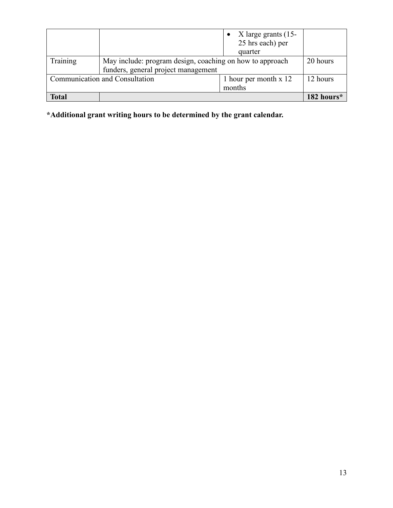|                                |                                                                                                 | X large grants (15-<br>25 hrs each) per<br>quarter |            |
|--------------------------------|-------------------------------------------------------------------------------------------------|----------------------------------------------------|------------|
| Training                       | May include: program design, coaching on how to approach<br>funders, general project management |                                                    | 20 hours   |
| Communication and Consultation |                                                                                                 | 1 hour per month x 12<br>months                    | 12 hours   |
| <b>Total</b>                   |                                                                                                 |                                                    | 182 hours* |

**\*Additional grant writing hours to be determined by the grant calendar.**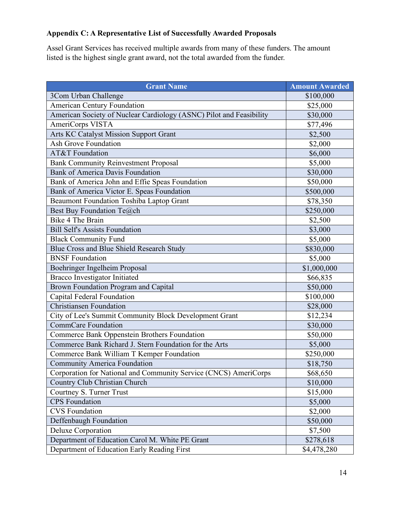# **Appendix C: A Representative List of Successfully Awarded Proposals**

Assel Grant Services has received multiple awards from many of these funders. The amount listed is the highest single grant award, not the total awarded from the funder.

| <b>Grant Name</b>                                                   | <b>Amount Awarded</b> |
|---------------------------------------------------------------------|-----------------------|
| 3Com Urban Challenge                                                | \$100,000             |
| <b>American Century Foundation</b>                                  | \$25,000              |
| American Society of Nuclear Cardiology (ASNC) Pilot and Feasibility | \$30,000              |
| AmeriCorps VISTA                                                    | \$77,496              |
| Arts KC Catalyst Mission Support Grant                              | \$2,500               |
| <b>Ash Grove Foundation</b>                                         | \$2,000               |
| AT&T Foundation                                                     | \$6,000               |
| <b>Bank Community Reinvestment Proposal</b>                         | \$5,000               |
| <b>Bank of America Davis Foundation</b>                             | \$30,000              |
| Bank of America John and Effie Speas Foundation                     | \$50,000              |
| Bank of America Victor E. Speas Foundation                          | \$500,000             |
| <b>Beaumont Foundation Toshiba Laptop Grant</b>                     | \$78,350              |
| Best Buy Foundation Te@ch                                           | \$250,000             |
| <b>Bike 4 The Brain</b>                                             | \$2,500               |
| <b>Bill Self's Assists Foundation</b>                               | \$3,000               |
| <b>Black Community Fund</b>                                         | \$5,000               |
| Blue Cross and Blue Shield Research Study                           | \$830,000             |
| <b>BNSF Foundation</b>                                              | \$5,000               |
| Boehringer Ingelheim Proposal                                       | \$1,000,000           |
| <b>Bracco Investigator Initiated</b>                                | \$66,835              |
| Brown Foundation Program and Capital                                | \$50,000              |
| Capital Federal Foundation                                          | \$100,000             |
| <b>Christiansen Foundation</b>                                      | \$28,000              |
| City of Lee's Summit Community Block Development Grant              | \$12,234              |
| <b>CommCare Foundation</b>                                          | \$30,000              |
| Commerce Bank Oppenstein Brothers Foundation                        | \$50,000              |
| Commerce Bank Richard J. Stern Foundation for the Arts              | \$5,000               |
| Commerce Bank William T Kemper Foundation                           | \$250,000             |
| <b>Community America Foundation</b>                                 | \$18,750              |
| Corporation for National and Community Service (CNCS) AmeriCorps    | \$68,650              |
| Country Club Christian Church                                       | \$10,000              |
| Courtney S. Turner Trust                                            | \$15,000              |
| <b>CPS</b> Foundation                                               | \$5,000               |
| <b>CVS</b> Foundation                                               | \$2,000               |
| Deffenbaugh Foundation                                              | \$50,000              |
| <b>Deluxe Corporation</b>                                           | \$7,500               |
| Department of Education Carol M. White PE Grant                     | \$278,618             |
| Department of Education Early Reading First                         | \$4,478,280           |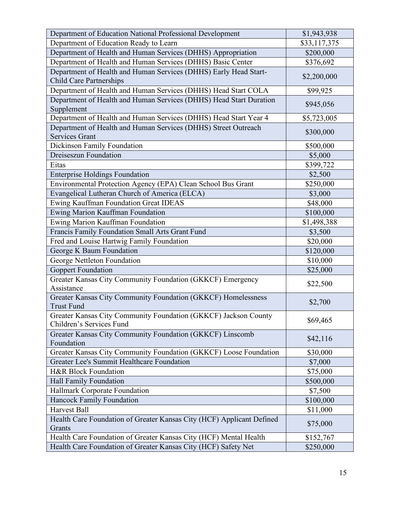| Department of Education National Professional Development                                          | \$1,943,938  |
|----------------------------------------------------------------------------------------------------|--------------|
| Department of Education Ready to Learn                                                             | \$33,117,375 |
| Department of Health and Human Services (DHHS) Appropriation                                       | \$200,000    |
| Department of Health and Human Services (DHHS) Basic Center                                        | \$376,692    |
| Department of Health and Human Services (DHHS) Early Head Start-<br><b>Child Care Partnerships</b> | \$2,200,000  |
| Department of Health and Human Services (DHHS) Head Start COLA                                     | \$99,925     |
| Department of Health and Human Services (DHHS) Head Start Duration<br>Supplement                   | \$945,056    |
| Department of Health and Human Services (DHHS) Head Start Year 4                                   | \$5,723,005  |
| Department of Health and Human Services (DHHS) Street Outreach<br>Services Grant                   | \$300,000    |
| Dickinson Family Foundation                                                                        | \$500,000    |
| <b>Dreiseszun Foundation</b>                                                                       | \$5,000      |
| Eitas                                                                                              | \$399,722    |
| <b>Enterprise Holdings Foundation</b>                                                              | \$2,500      |
| Environmental Protection Agency (EPA) Clean School Bus Grant                                       | \$250,000    |
| Evangelical Lutheran Church of America (ELCA)                                                      | \$3,000      |
| Ewing Kauffman Foundation Great IDEAS                                                              | \$48,000     |
| Ewing Marion Kauffman Foundation                                                                   | \$100,000    |
| Ewing Marion Kauffman Foundation                                                                   | \$1,498,388  |
| Francis Family Foundation Small Arts Grant Fund                                                    | \$3,500      |
| Fred and Louise Hartwig Family Foundation                                                          | \$20,000     |
| George K Baum Foundation                                                                           | \$120,000    |
| George Nettleton Foundation                                                                        | \$10,000     |
| <b>Goppert Foundation</b>                                                                          | \$25,000     |
| Greater Kansas City Community Foundation (GKKCF) Emergency<br>Assistance                           | \$22,500     |
| Greater Kansas City Community Foundation (GKKCF) Homelessness<br><b>Trust Fund</b>                 | \$2,700      |
| Greater Kansas City Community Foundation (GKKCF) Jackson County<br>Children's Services Fund        | \$69,465     |
| Greater Kansas City Community Foundation (GKKCF) Linscomb<br>Foundation                            | \$42,116     |
| Greater Kansas City Community Foundation (GKKCF) Loose Foundation                                  | \$30,000     |
| Greater Lee's Summit Healthcare Foundation                                                         | \$7,000      |
| <b>H&amp;R Block Foundation</b>                                                                    | \$75,000     |
| Hall Family Foundation                                                                             | \$500,000    |
| Hallmark Corporate Foundation                                                                      | \$7,500      |
| Hancock Family Foundation                                                                          | \$100,000    |
| <b>Harvest Ball</b>                                                                                | \$11,000     |
| Health Care Foundation of Greater Kansas City (HCF) Applicant Defined<br>Grants                    | \$75,000     |
| Health Care Foundation of Greater Kansas City (HCF) Mental Health                                  | \$152,767    |
| Health Care Foundation of Greater Kansas City (HCF) Safety Net                                     | \$250,000    |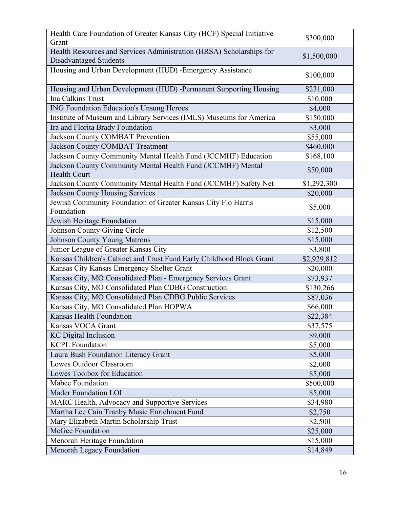| Health Care Foundation of Greater Kansas City (HCF) Special Initiative<br>Grant                       | \$300,000   |
|-------------------------------------------------------------------------------------------------------|-------------|
| Health Resources and Services Administration (HRSA) Scholarships for<br><b>Disadvantaged Students</b> | \$1,500,000 |
| Housing and Urban Development (HUD) -Emergency Assistance                                             | \$100,000   |
| Housing and Urban Development (HUD) -Permanent Supporting Housing                                     | \$231,000   |
| <b>Ina Calkins Trust</b>                                                                              | \$10,000    |
| <b>ING Foundation Education's Unsung Heroes</b>                                                       | \$4,000     |
| Institute of Museum and Library Services (IMLS) Museums for America                                   | \$150,000   |
| Ira and Florita Brady Foundation                                                                      | \$3,000     |
| Jackson County COMBAT Prevention                                                                      | \$55,000    |
| <b>Jackson County COMBAT Treatment</b>                                                                | \$460,000   |
| Jackson County Community Mental Health Fund (JCCMHF) Education                                        | \$168,100   |
| Jackson County Community Mental Health Fund (JCCMHF) Mental<br><b>Health Court</b>                    | \$50,000    |
| Jackson County Community Mental Health Fund (JCCMHF) Safety Net                                       | \$1,292,300 |
| <b>Jackson County Housing Services</b>                                                                | \$20,000    |
| Jewish Community Foundation of Greater Kansas City Flo Harris                                         | \$5,000     |
| Foundation                                                                                            |             |
| Jewish Heritage Foundation                                                                            | \$15,000    |
| Johnson County Giving Circle                                                                          | \$12,500    |
| <b>Johnson County Young Matrons</b>                                                                   | \$15,000    |
| Junior League of Greater Kansas City                                                                  | \$3,800     |
| Kansas Children's Cabinet and Trust Fund Early Childhood Block Grant                                  | \$2,929,812 |
| Kansas City Kansas Emergency Shelter Grant                                                            | \$20,000    |
| Kansas City, MO Consolidated Plan - Emergency Services Grant                                          | \$73,937    |
| Kansas City, MO Consolidated Plan CDBG Construction                                                   | \$130,266   |
| Kansas City, MO Consolidated Plan CDBG Public Services                                                | \$87,036    |
| Kansas City, MO Consolidated Plan HOPWA                                                               | \$66,000    |
| Kansas Health Foundation                                                                              | \$22,384    |
| Kansas VOCA Grant                                                                                     | \$37,575    |
| <b>KC</b> Digital Inclusion                                                                           | \$9,000     |
| <b>KCPL Foundation</b>                                                                                | \$5,000     |
| Laura Bush Foundation Literacy Grant                                                                  | \$5,000     |
| <b>Lowes Outdoor Classroom</b>                                                                        | \$2,000     |
| Lowes Toolbox for Education                                                                           | \$5,000     |
| Mabee Foundation                                                                                      | \$500,000   |
| <b>Mader Foundation LOI</b>                                                                           | \$5,000     |
| MARC Health, Advocacy and Supportive Services                                                         | \$34,980    |
| Martha Lee Cain Tranby Music Enrichment Fund                                                          | \$2,750     |
| Mary Elizabeth Martin Scholarship Trust                                                               | \$2,500     |
| McGee Foundation                                                                                      | \$25,000    |
| Menorah Heritage Foundation                                                                           | \$15,000    |
| Menorah Legacy Foundation                                                                             | \$14,849    |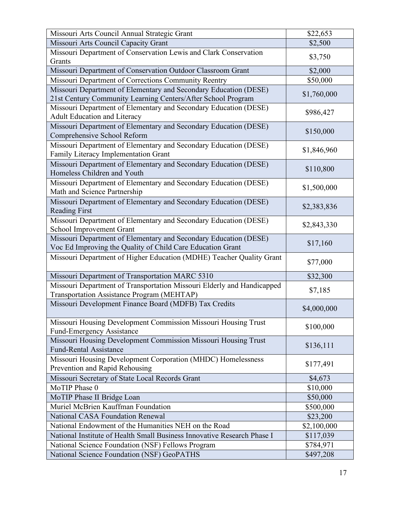| Missouri Arts Council Annual Strategic Grant                                                                                     | \$22,653    |
|----------------------------------------------------------------------------------------------------------------------------------|-------------|
| Missouri Arts Council Capacity Grant                                                                                             | \$2,500     |
| Missouri Department of Conservation Lewis and Clark Conservation<br>Grants                                                       | \$3,750     |
| Missouri Department of Conservation Outdoor Classroom Grant                                                                      | \$2,000     |
| Missouri Department of Corrections Community Reentry                                                                             | \$50,000    |
| Missouri Department of Elementary and Secondary Education (DESE)<br>21st Century Community Learning Centers/After School Program | \$1,760,000 |
| Missouri Department of Elementary and Secondary Education (DESE)<br><b>Adult Education and Literacy</b>                          | \$986,427   |
| Missouri Department of Elementary and Secondary Education (DESE)<br>Comprehensive School Reform                                  | \$150,000   |
| Missouri Department of Elementary and Secondary Education (DESE)<br>Family Literacy Implementation Grant                         | \$1,846,960 |
| Missouri Department of Elementary and Secondary Education (DESE)<br>Homeless Children and Youth                                  | \$110,800   |
| Missouri Department of Elementary and Secondary Education (DESE)<br>Math and Science Partnership                                 | \$1,500,000 |
| Missouri Department of Elementary and Secondary Education (DESE)<br><b>Reading First</b>                                         | \$2,383,836 |
| Missouri Department of Elementary and Secondary Education (DESE)<br>School Improvement Grant                                     | \$2,843,330 |
| Missouri Department of Elementary and Secondary Education (DESE)<br>Voc Ed Improving the Quality of Child Care Education Grant   | \$17,160    |
| Missouri Department of Higher Education (MDHE) Teacher Quality Grant                                                             | \$77,000    |
| Missouri Department of Transportation MARC 5310                                                                                  | \$32,300    |
| Missouri Department of Transportation Missouri Elderly and Handicapped<br>Transportation Assistance Program (MEHTAP)             | \$7,185     |
| Missouri Development Finance Board (MDFB) Tax Credits                                                                            | \$4,000,000 |
| Missouri Housing Development Commission Missouri Housing Trust<br><b>Fund-Emergency Assistance</b>                               | \$100,000   |
| Missouri Housing Development Commission Missouri Housing Trust<br><b>Fund-Rental Assistance</b>                                  | \$136,111   |
| Missouri Housing Development Corporation (MHDC) Homelessness<br>Prevention and Rapid Rehousing                                   | \$177,491   |
| Missouri Secretary of State Local Records Grant                                                                                  | \$4,673     |
| MoTIP Phase 0                                                                                                                    | \$10,000    |
| MoTIP Phase II Bridge Loan                                                                                                       | \$50,000    |
| Muriel McBrien Kauffman Foundation                                                                                               | \$500,000   |
| <b>National CASA Foundation Renewal</b>                                                                                          | \$23,200    |
| National Endowment of the Humanities NEH on the Road                                                                             | \$2,100,000 |
| National Institute of Health Small Business Innovative Research Phase I                                                          | \$117,039   |
| National Science Foundation (NSF) Fellows Program                                                                                | \$784,971   |
| <b>National Science Foundation (NSF) GeoPATHS</b>                                                                                | \$497,208   |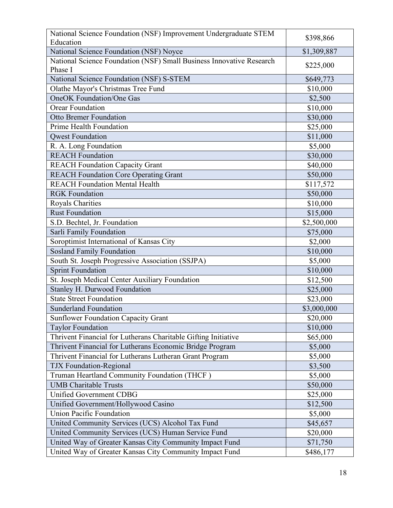| National Science Foundation (NSF) Improvement Undergraduate STEM<br>Education   | \$398,866   |
|---------------------------------------------------------------------------------|-------------|
| National Science Foundation (NSF) Noyce                                         | \$1,309,887 |
| National Science Foundation (NSF) Small Business Innovative Research<br>Phase I | \$225,000   |
| National Science Foundation (NSF) S-STEM                                        | \$649,773   |
| Olathe Mayor's Christmas Tree Fund                                              | \$10,000    |
| <b>OneOK</b> Foundation/One Gas                                                 | \$2,500     |
| <b>Orear Foundation</b>                                                         | \$10,000    |
| <b>Otto Bremer Foundation</b>                                                   | \$30,000    |
| Prime Health Foundation                                                         | \$25,000    |
| <b>Owest Foundation</b>                                                         | \$11,000    |
| R. A. Long Foundation                                                           | \$5,000     |
| <b>REACH Foundation</b>                                                         | \$30,000    |
| <b>REACH Foundation Capacity Grant</b>                                          | \$40,000    |
| <b>REACH Foundation Core Operating Grant</b>                                    | \$50,000    |
| <b>REACH Foundation Mental Health</b>                                           | \$117,572   |
| <b>RGK</b> Foundation                                                           | \$50,000    |
| <b>Royals Charities</b>                                                         | \$10,000    |
| <b>Rust Foundation</b>                                                          | \$15,000    |
| S.D. Bechtel, Jr. Foundation                                                    | \$2,500,000 |
| Sarli Family Foundation                                                         | \$75,000    |
| Soroptimist International of Kansas City                                        | \$2,000     |
| <b>Sosland Family Foundation</b>                                                | \$10,000    |
| South St. Joseph Progressive Association (SSJPA)                                | \$5,000     |
| <b>Sprint Foundation</b>                                                        | \$10,000    |
| St. Joseph Medical Center Auxiliary Foundation                                  | \$12,500    |
| Stanley H. Durwood Foundation                                                   | \$25,000    |
| <b>State Street Foundation</b>                                                  | \$23,000    |
| <b>Sunderland Foundation</b>                                                    | \$3,000,000 |
| <b>Sunflower Foundation Capacity Grant</b>                                      | \$20,000    |
| <b>Taylor Foundation</b>                                                        | \$10,000    |
| Thrivent Financial for Lutherans Charitable Gifting Initiative                  | \$65,000    |
| Thrivent Financial for Lutherans Economic Bridge Program                        | \$5,000     |
| Thrivent Financial for Lutherans Lutheran Grant Program                         | \$5,000     |
| <b>TJX Foundation-Regional</b>                                                  | \$3,500     |
| Truman Heartland Community Foundation (THCF)                                    | \$5,000     |
| <b>UMB Charitable Trusts</b>                                                    | \$50,000    |
| Unified Government CDBG                                                         | \$25,000    |
| Unified Government/Hollywood Casino                                             | \$12,500    |
| <b>Union Pacific Foundation</b>                                                 | \$5,000     |
| United Community Services (UCS) Alcohol Tax Fund                                | \$45,657    |
| United Community Services (UCS) Human Service Fund                              | \$20,000    |
| United Way of Greater Kansas City Community Impact Fund                         | \$71,750    |
| United Way of Greater Kansas City Community Impact Fund                         | \$486,177   |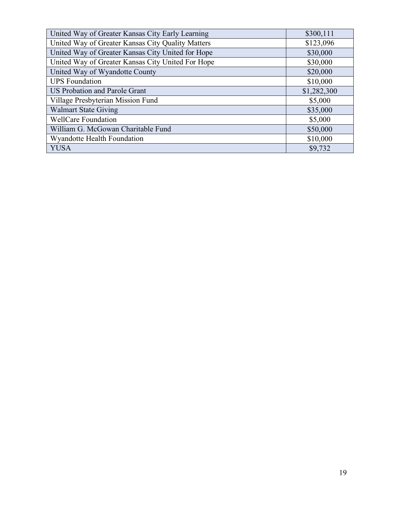| United Way of Greater Kansas City Early Learning  | \$300,111   |
|---------------------------------------------------|-------------|
| United Way of Greater Kansas City Quality Matters | \$123,096   |
| United Way of Greater Kansas City United for Hope | \$30,000    |
| United Way of Greater Kansas City United For Hope | \$30,000    |
| United Way of Wyandotte County                    | \$20,000    |
| <b>UPS</b> Foundation                             | \$10,000    |
| <b>US Probation and Parole Grant</b>              | \$1,282,300 |
| Village Presbyterian Mission Fund                 | \$5,000     |
| <b>Walmart State Giving</b>                       | \$35,000    |
| <b>WellCare Foundation</b>                        | \$5,000     |
| William G. McGowan Charitable Fund                | \$50,000    |
| Wyandotte Health Foundation                       | \$10,000    |
| <b>YUSA</b>                                       | \$9,732     |